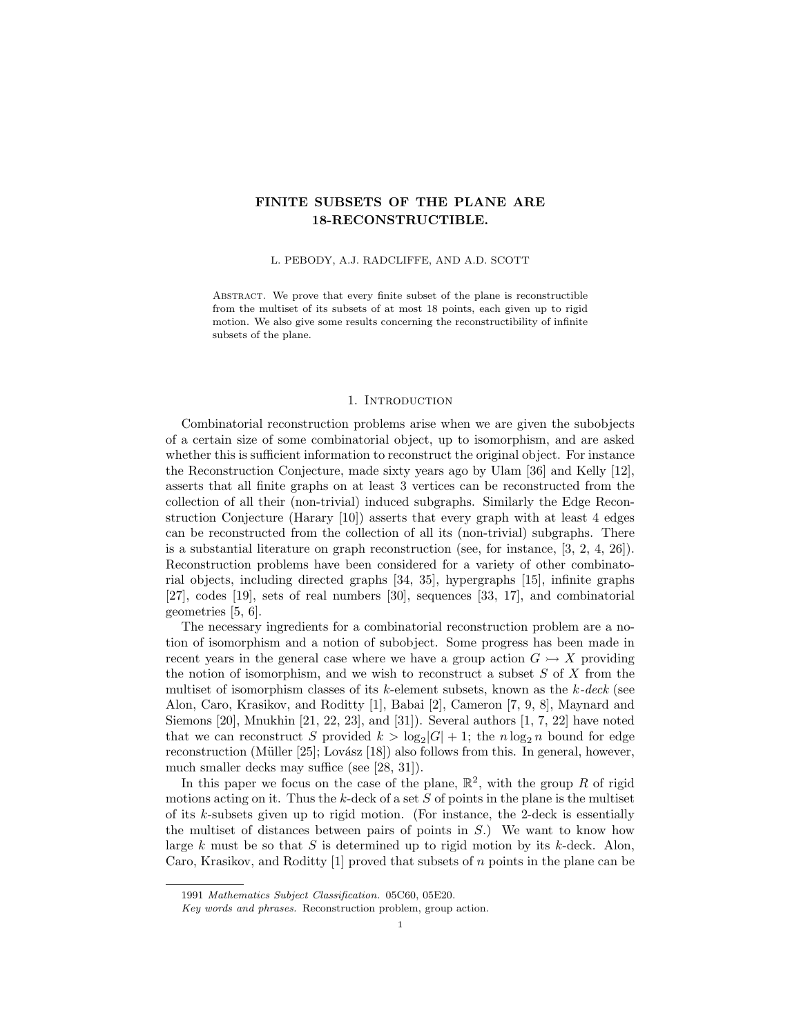## FINITE SUBSETS OF THE PLANE ARE 18-RECONSTRUCTIBLE.

L. PEBODY, A.J. RADCLIFFE, AND A.D. SCOTT

ABSTRACT. We prove that every finite subset of the plane is reconstructible from the multiset of its subsets of at most 18 points, each given up to rigid motion. We also give some results concerning the reconstructibility of infinite subsets of the plane.

### 1. INTRODUCTION

Combinatorial reconstruction problems arise when we are given the subobjects of a certain size of some combinatorial object, up to isomorphism, and are asked whether this is sufficient information to reconstruct the original object. For instance the Reconstruction Conjecture, made sixty years ago by Ulam [36] and Kelly [12], asserts that all finite graphs on at least 3 vertices can be reconstructed from the collection of all their (non-trivial) induced subgraphs. Similarly the Edge Reconstruction Conjecture (Harary [10]) asserts that every graph with at least 4 edges can be reconstructed from the collection of all its (non-trivial) subgraphs. There is a substantial literature on graph reconstruction (see, for instance, [3, 2, 4, 26]). Reconstruction problems have been considered for a variety of other combinatorial objects, including directed graphs [34, 35], hypergraphs [15], infinite graphs [27], codes [19], sets of real numbers [30], sequences [33, 17], and combinatorial geometries [5, 6].

The necessary ingredients for a combinatorial reconstruction problem are a notion of isomorphism and a notion of subobject. Some progress has been made in recent years in the general case where we have a group action  $G \rightarrow X$  providing the notion of isomorphism, and we wish to reconstruct a subset  $S$  of  $X$  from the multiset of isomorphism classes of its  $k$ -element subsets, known as the  $k$ -deck (see Alon, Caro, Krasikov, and Roditty [1], Babai [2], Cameron [7, 9, 8], Maynard and Siemons [20], Mnukhin [21, 22, 23], and [31]). Several authors [1, 7, 22] have noted that we can reconstruct S provided  $k > \log_2|G| + 1$ ; the  $n \log_2 n$  bound for edge reconstruction (Müller [25]; Lovász [18]) also follows from this. In general, however, much smaller decks may suffice (see [28, 31]).

In this paper we focus on the case of the plane,  $\mathbb{R}^2$ , with the group R of rigid motions acting on it. Thus the  $k$ -deck of a set  $S$  of points in the plane is the multiset of its k-subsets given up to rigid motion. (For instance, the 2-deck is essentially the multiset of distances between pairs of points in  $S$ .) We want to know how large k must be so that S is determined up to rigid motion by its k-deck. Alon, Caro, Krasikov, and Roditty [1] proved that subsets of n points in the plane can be

<sup>1991</sup> Mathematics Subject Classification. 05C60, 05E20.

Key words and phrases. Reconstruction problem, group action.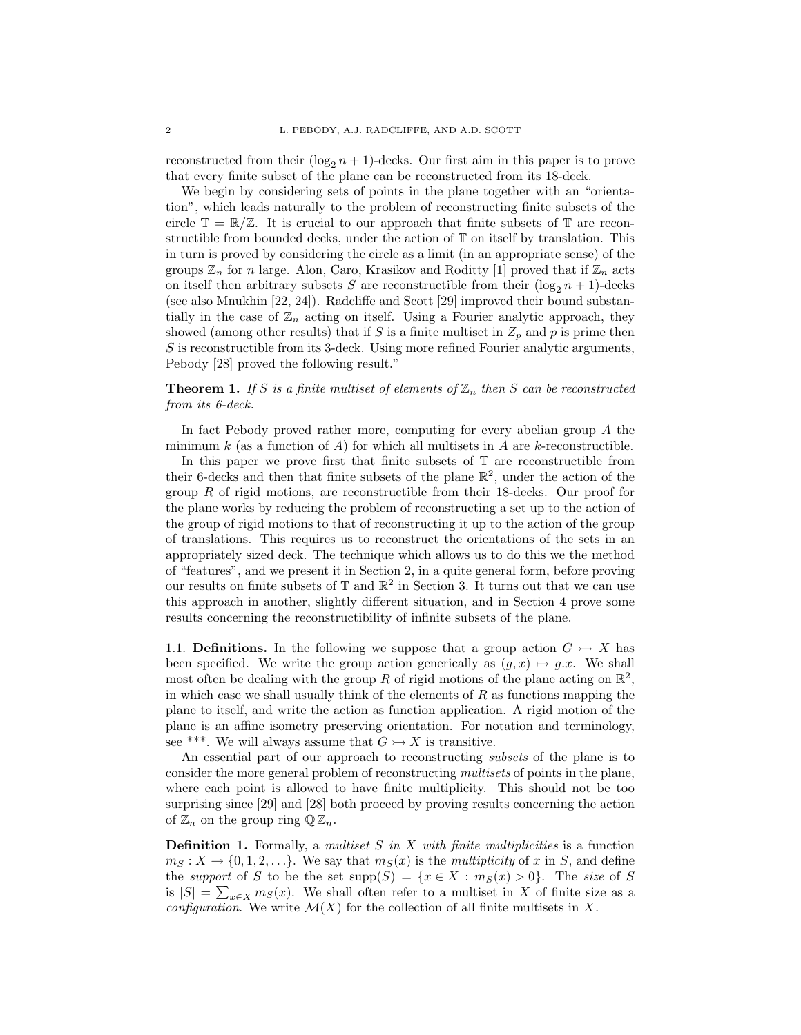reconstructed from their  $(\log_2 n + 1)$ -decks. Our first aim in this paper is to prove that every finite subset of the plane can be reconstructed from its 18-deck.

We begin by considering sets of points in the plane together with an "orientation", which leads naturally to the problem of reconstructing finite subsets of the circle  $\mathbb{T} = \mathbb{R}/\mathbb{Z}$ . It is crucial to our approach that finite subsets of  $\mathbb{T}$  are reconstructible from bounded decks, under the action of T on itself by translation. This in turn is proved by considering the circle as a limit (in an appropriate sense) of the groups  $\mathbb{Z}_n$  for n large. Alon, Caro, Krasikov and Roditty [1] proved that if  $\mathbb{Z}_n$  acts on itself then arbitrary subsets S are reconstructible from their  $(\log_2 n + 1)$ -decks (see also Mnukhin [22, 24]). Radcliffe and Scott [29] improved their bound substantially in the case of  $\mathbb{Z}_n$  acting on itself. Using a Fourier analytic approach, they showed (among other results) that if S is a finite multiset in  $Z_p$  and p is prime then S is reconstructible from its 3-deck. Using more refined Fourier analytic arguments, Pebody [28] proved the following result."

**Theorem 1.** If S is a finite multiset of elements of  $\mathbb{Z}_n$  then S can be reconstructed from its 6-deck.

In fact Pebody proved rather more, computing for every abelian group A the minimum  $k$  (as a function of  $A$ ) for which all multisets in  $A$  are  $k$ -reconstructible.

In this paper we prove first that finite subsets of  $\mathbb T$  are reconstructible from their 6-decks and then that finite subsets of the plane  $\mathbb{R}^2$ , under the action of the group  $R$  of rigid motions, are reconstructible from their 18-decks. Our proof for the plane works by reducing the problem of reconstructing a set up to the action of the group of rigid motions to that of reconstructing it up to the action of the group of translations. This requires us to reconstruct the orientations of the sets in an appropriately sized deck. The technique which allows us to do this we the method of "features", and we present it in Section 2, in a quite general form, before proving our results on finite subsets of  $\mathbb T$  and  $\mathbb R^2$  in Section 3. It turns out that we can use this approach in another, slightly different situation, and in Section 4 prove some results concerning the reconstructibility of infinite subsets of the plane.

1.1. Definitions. In the following we suppose that a group action  $G \rightarrow X$  has been specified. We write the group action generically as  $(g, x) \mapsto g.x$ . We shall most often be dealing with the group R of rigid motions of the plane acting on  $\mathbb{R}^2$ , in which case we shall usually think of the elements of  $R$  as functions mapping the plane to itself, and write the action as function application. A rigid motion of the plane is an affine isometry preserving orientation. For notation and terminology, see \*\*\*. We will always assume that  $G \rightarrow X$  is transitive.

An essential part of our approach to reconstructing subsets of the plane is to consider the more general problem of reconstructing multisets of points in the plane, where each point is allowed to have finite multiplicity. This should not be too surprising since [29] and [28] both proceed by proving results concerning the action of  $\mathbb{Z}_n$  on the group ring  $\mathbb{Q} \mathbb{Z}_n$ .

**Definition 1.** Formally, a multiset S in X with finite multiplicities is a function  $m_S : X \to \{0, 1, 2, \ldots\}.$  We say that  $m_S(x)$  is the *multiplicity* of x in S, and define the support of S to be the set  $supp(S) = \{x \in X : m_S(x) > 0\}$ . The size of S is  $|S| = \sum_{x \in X} m_S(x)$ . We shall often refer to a multiset in X of finite size as a configuration. We write  $\mathcal{M}(X)$  for the collection of all finite multisets in X.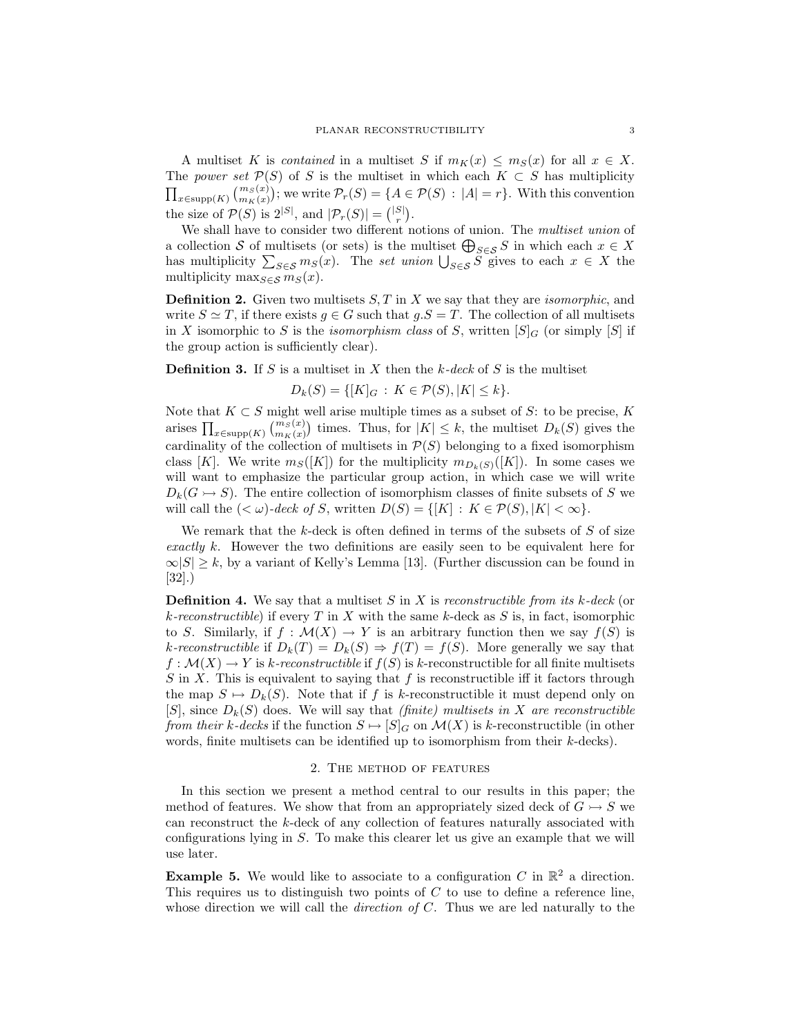A multiset K is *contained* in a multiset S if  $m_K(x) \leq m_S(x)$  for all  $x \in X$ . The power set  $\mathcal{P}(S)$  of S is the multiset in which each  $K \subset S$  has multiplicity  $\prod_{x\in \text{supp}(K)} \binom{m_S(x)}{m_K(x)}$ ; we write  $\mathcal{P}_r(S) = \{A \in \mathcal{P}(S) : |A| = r\}$ . With this convention the size of  $\mathcal{P}(S)$  is  $2^{|S|}$ , and  $|\mathcal{P}_r(S)| = \binom{|S|}{r}$ .

We shall have to consider two different notions of union. The multiset union of a collection S of multisets (or sets) is the multiset  $\bigoplus_{S\in\mathcal{S}}S$  in which each  $x\in X$ has multiplicity  $\sum_{S \in \mathcal{S}} m_S(x)$ . The set union  $\bigcup_{S \in \mathcal{S}} S$  gives to each  $x \in X$  the multiplicity max $s \in S$  ms(x).

**Definition 2.** Given two multisets  $S, T$  in X we say that they are *isomorphic*, and write  $S \simeq T$ , if there exists  $g \in G$  such that  $g.S = T$ . The collection of all multisets in X isomorphic to S is the *isomorphism class* of S, written  $[S]_G$  (or simply  $[S]$  if the group action is sufficiently clear).

**Definition 3.** If S is a multiset in X then the  $k$ -deck of S is the multiset

$$
D_k(S) = \{ [K]_G : K \in \mathcal{P}(S), |K| \le k \}.
$$

Note that  $K \subset S$  might well arise multiple times as a subset of S: to be precise, K arises  $\prod_{x \in \text{supp}(K)} {m_S(x) \choose m_K(x)}$  times. Thus, for  $|K| \leq k$ , the multiset  $D_k(S)$  gives the cardinality of the collection of multisets in  $P(S)$  belonging to a fixed isomorphism class [K]. We write  $m_S([K])$  for the multiplicity  $m_{D_k(S)}([K])$ . In some cases we will want to emphasize the particular group action, in which case we will write  $D_k(G \rightarrow S)$ . The entire collection of isomorphism classes of finite subsets of S we will call the  $( $\omega$ )-deck of S, written  $D(S) = \{ [K] : K \in \mathcal{P}(S), |K| < \infty \}.$$ 

We remark that the  $k$ -deck is often defined in terms of the subsets of  $S$  of size exactly k. However the two definitions are easily seen to be equivalent here for  $\infty$ |S| ≥ k, by a variant of Kelly's Lemma [13]. (Further discussion can be found in [32].)

**Definition 4.** We say that a multiset S in X is reconstructible from its  $k$ -deck (or k-reconstructible) if every T in X with the same k-deck as S is, in fact, isomorphic to S. Similarly, if  $f : \mathcal{M}(X) \to Y$  is an arbitrary function then we say  $f(S)$  is k-reconstructible if  $D_k(T) = D_k(S) \Rightarrow f(T) = f(S)$ . More generally we say that  $f: \mathcal{M}(X) \to Y$  is k-reconstructible if  $f(S)$  is k-reconstructible for all finite multisets  $S$  in X. This is equivalent to saying that f is reconstructible iff it factors through the map  $S \mapsto D_k(S)$ . Note that if f is k-reconstructible it must depend only on  $[S]$ , since  $D_k(S)$  does. We will say that *(finite) multisets in X are reconstructible* from their k-decks if the function  $S \mapsto [S]_G$  on  $\mathcal{M}(X)$  is k-reconstructible (in other words, finite multisets can be identified up to isomorphism from their k-decks).

#### 2. The method of features

In this section we present a method central to our results in this paper; the method of features. We show that from an appropriately sized deck of  $G \rightarrow S$  we can reconstruct the k-deck of any collection of features naturally associated with configurations lying in S. To make this clearer let us give an example that we will use later.

**Example 5.** We would like to associate to a configuration C in  $\mathbb{R}^2$  a direction. This requires us to distinguish two points of C to use to define a reference line, whose direction we will call the *direction of C*. Thus we are led naturally to the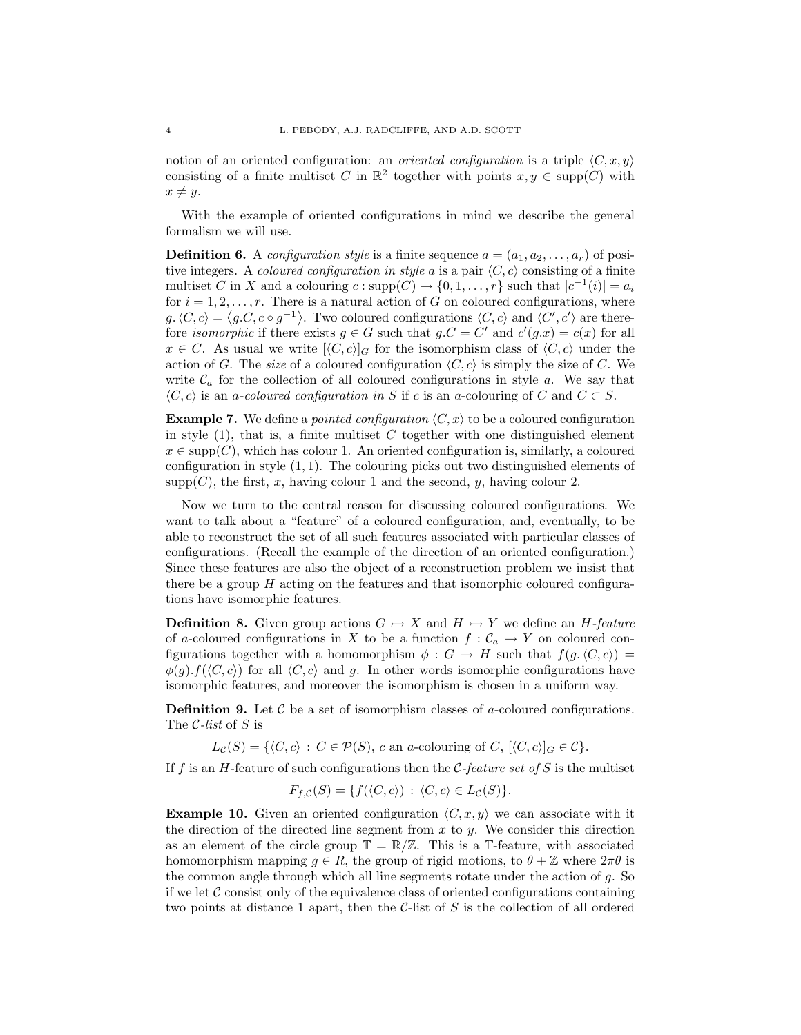notion of an oriented configuration: an *oriented configuration* is a triple  $\langle C, x, y \rangle$ consisting of a finite multiset C in  $\mathbb{R}^2$  together with points  $x, y \in \text{supp}(C)$  with  $x \neq y$ .

With the example of oriented configurations in mind we describe the general formalism we will use.

**Definition 6.** A configuration style is a finite sequence  $a = (a_1, a_2, \ldots, a_r)$  of positive integers. A coloured configuration in style a is a pair  $\langle C, c \rangle$  consisting of a finite multiset C in X and a colouring  $c: \text{supp}(C) \to \{0, 1, \ldots, r\}$  such that  $|c^{-1}(i)| = a_i$ for  $i = 1, 2, \ldots, r$ . There is a natural action of G on coloured configurations, where  $g(x, c) = \langle g.c, c \circ g^{-1} \rangle$ . Two coloured configurations  $\langle C, c \rangle$  and  $\langle C', c' \rangle$  are therefore *isomorphic* if there exists  $g \in G$  such that  $g.C = C'$  and  $c'(g.x) = c(x)$  for all  $x \in C$ . As usual we write  $[\langle C, c \rangle]_G$  for the isomorphism class of  $\langle C, c \rangle$  under the action of G. The size of a coloured configuration  $\langle C, c \rangle$  is simply the size of C. We write  $C_a$  for the collection of all coloured configurations in style  $a$ . We say that  $\langle C, c \rangle$  is an a-coloured configuration in S if c is an a-colouring of C and  $C \subset S$ .

**Example 7.** We define a *pointed configuration*  $\langle C, x \rangle$  to be a coloured configuration in style  $(1)$ , that is, a finite multiset C together with one distinguished element  $x \in \text{supp}(C)$ , which has colour 1. An oriented configuration is, similarly, a coloured configuration in style  $(1, 1)$ . The colouring picks out two distinguished elements of  $supp(C)$ , the first, x, having colour 1 and the second, y, having colour 2.

Now we turn to the central reason for discussing coloured configurations. We want to talk about a "feature" of a coloured configuration, and, eventually, to be able to reconstruct the set of all such features associated with particular classes of configurations. (Recall the example of the direction of an oriented configuration.) Since these features are also the object of a reconstruction problem we insist that there be a group  $H$  acting on the features and that isomorphic coloured configurations have isomorphic features.

**Definition 8.** Given group actions  $G \rightarrow X$  and  $H \rightarrow Y$  we define an H-feature of a-coloured configurations in X to be a function  $f: \mathcal{C}_a \to Y$  on coloured configurations together with a homomorphism  $\phi : G \to H$  such that  $f(g, \langle C, c \rangle) =$  $\phi(g) \cdot f(\langle C, c \rangle)$  for all  $\langle C, c \rangle$  and g. In other words isomorphic configurations have isomorphic features, and moreover the isomorphism is chosen in a uniform way.

**Definition 9.** Let  $\mathcal C$  be a set of isomorphism classes of a-coloured configurations. The  $C$ -list of  $S$  is

 $L_{\mathcal{C}}(S) = \{ \langle C, c \rangle : C \in \mathcal{P}(S), c \text{ an } a\text{-colouring of } C, [\langle C, c \rangle]_G \in \mathcal{C} \}.$ 

If f is an H-feature of such configurations then the C-feature set of S is the multiset

$$
F_{f,C}(S) = \{ f(\langle C, c \rangle) : \langle C, c \rangle \in L_C(S) \}.
$$

**Example 10.** Given an oriented configuration  $\langle C, x, y \rangle$  we can associate with it the direction of the directed line segment from  $x$  to  $y$ . We consider this direction as an element of the circle group  $\mathbb{T} = \mathbb{R}/\mathbb{Z}$ . This is a T-feature, with associated homomorphism mapping  $g \in R$ , the group of rigid motions, to  $\theta + \mathbb{Z}$  where  $2\pi\theta$  is the common angle through which all line segments rotate under the action of g. So if we let  $\mathcal C$  consist only of the equivalence class of oriented configurations containing two points at distance 1 apart, then the  $C$ -list of  $S$  is the collection of all ordered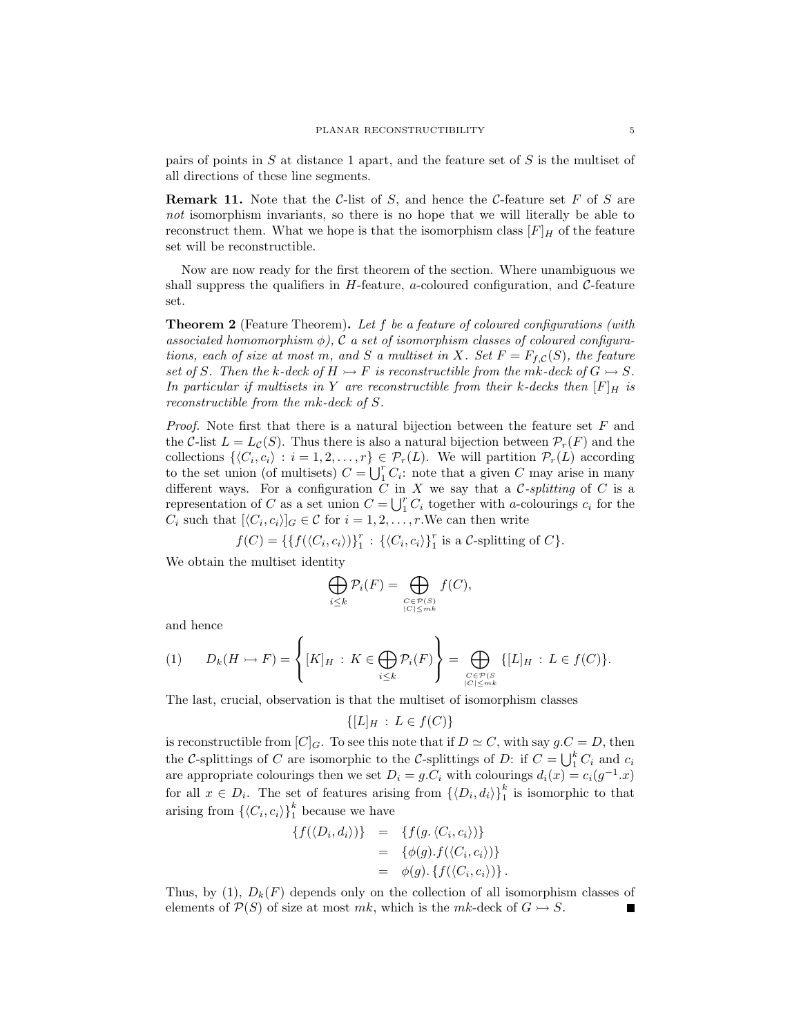pairs of points in  $S$  at distance 1 apart, and the feature set of  $S$  is the multiset of all directions of these line segments.

**Remark 11.** Note that the C-list of S, and hence the C-feature set F of S are not isomorphism invariants, so there is no hope that we will literally be able to reconstruct them. What we hope is that the isomorphism class  $[F]_H$  of the feature set will be reconstructible.

Now are now ready for the first theorem of the section. Where unambiguous we shall suppress the qualifiers in  $H$ -feature, a-coloured configuration, and  $C$ -feature set.

**Theorem 2** (Feature Theorem). Let f be a feature of coloured configurations (with associated homomorphism  $\phi$ ), C a set of isomorphism classes of coloured configurations, each of size at most m, and S a multiset in X. Set  $F = F_{f,C}(S)$ , the feature set of S. Then the k-deck of  $H \rightarrow F$  is reconstructible from the mk-deck of  $G \rightarrow S$ . In particular if multisets in Y are reconstructible from their k-decks then  $[F]_H$  is reconstructible from the mk-deck of S.

*Proof.* Note first that there is a natural bijection between the feature set  $F$  and the C-list  $L = L<sub>C</sub>(S)$ . Thus there is also a natural bijection between  $\mathcal{P}_r(F)$  and the collections  $\{ \langle C_i, c_i \rangle : i = 1, 2, ..., r \} \in \mathcal{P}_r(L)$ . We will partition  $\mathcal{P}_r(L)$  according to the set union (of multisets)  $C = \bigcup_{i=1}^{r} C_i$ : note that a given C may arise in many different ways. For a configuration  $\tilde{C}$  in X we say that a C-splitting of C is a representation of C as a set union  $C = \bigcup_{i=1}^{r} C_i$  together with a-colourings  $c_i$  for the  $C_i$  such that  $[\langle C_i, c_i \rangle]_G \in \mathcal{C}$  for  $i = 1, 2, \dots, r$ . We can then write

 $f(C) = \{ \{ f(\langle C_i, c_i \rangle) \}_{1}^r : \{ \langle C_i, c_i \rangle \}_{1}^r$  is a C-splitting of C}.

We obtain the multiset identity

$$
\bigoplus_{i\leq k} \mathcal{P}_i(F) = \bigoplus_{\substack{C\in\mathcal{P}(S)\\|C|\leq mk}} f(C),
$$

and hence

$$
(1) \qquad D_k(H \rightarrow F) = \left\{ [K]_H : K \in \bigoplus_{i \leq k} \mathcal{P}_i(F) \right\} = \bigoplus_{\substack{C \in \mathcal{P}(S) \\ |C| \leq m k}} \{ [L]_H : L \in f(C) \}.
$$

The last, crucial, observation is that the multiset of isomorphism classes

 ${[L]_H : L \in f(C)}$ 

is reconstructible from  $[C]_G$ . To see this note that if  $D \simeq C$ , with say  $g.C = D$ , then the C-splittings of C are isomorphic to the C-splittings of D: if  $C = \bigcup_{1}^{k} C_i$  and  $c_i$ are appropriate colourings then we set  $D_i = g.C_i$  with colourings  $d_i(x) = c_i(g^{-1}x)$ for all  $x \in D_i$ . The set of features arising from  $\{\langle D_i, d_i \rangle\}_1^k$  is isomorphic to that arising from  $\{\langle C_i, c_i \rangle\}_{1}^k$  because we have

$$
\{f(\langle D_i, d_i \rangle)\} = \{f(g \cdot \langle C_i, c_i \rangle)\}
$$
  
= 
$$
\{\phi(g).f(\langle C_i, c_i \rangle)\}
$$
  
= 
$$
\phi(g). \{f(\langle C_i, c_i \rangle)\}.
$$

Thus, by (1),  $D_k(F)$  depends only on the collection of all isomorphism classes of elements of  $\mathcal{P}(S)$  of size at most mk, which is the mk-deck of  $G \rightarrow S$ . П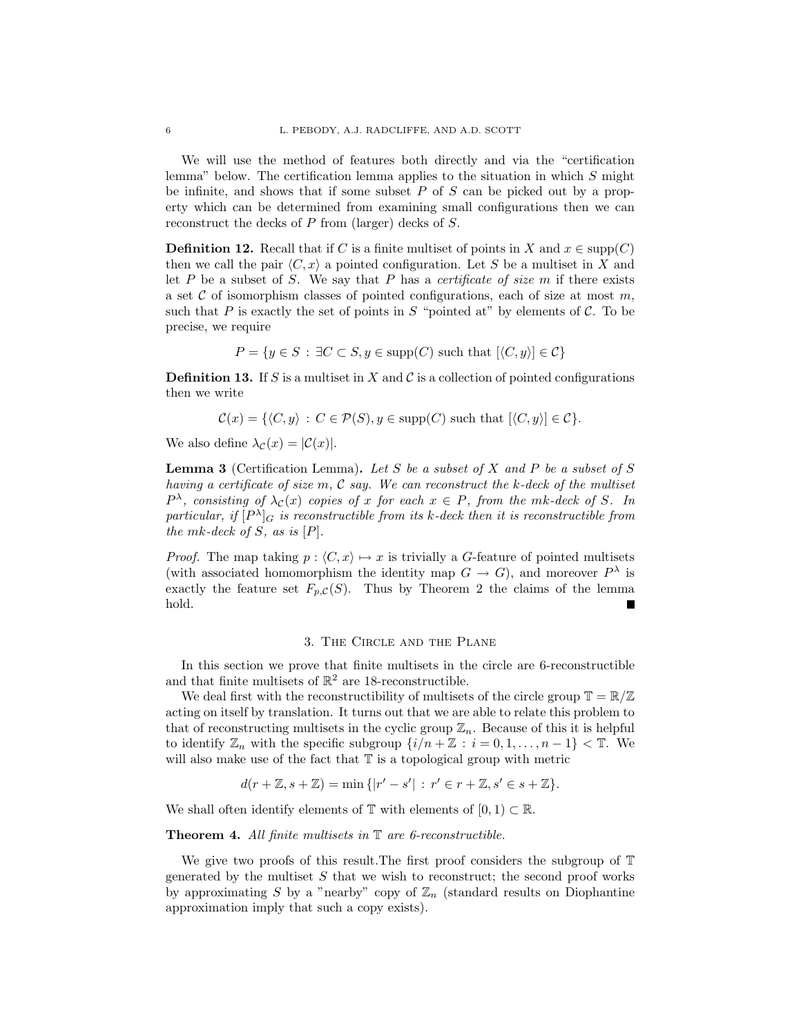We will use the method of features both directly and via the "certification lemma" below. The certification lemma applies to the situation in which S might be infinite, and shows that if some subset  $P$  of  $S$  can be picked out by a property which can be determined from examining small configurations then we can reconstruct the decks of P from (larger) decks of S.

**Definition 12.** Recall that if C is a finite multiset of points in X and  $x \in \text{supp}(C)$ then we call the pair  $\langle C, x \rangle$  a pointed configuration. Let S be a multiset in X and let  $P$  be a subset of  $S$ . We say that  $P$  has a *certificate of size*  $m$  if there exists a set  $\mathcal C$  of isomorphism classes of pointed configurations, each of size at most  $m$ , such that P is exactly the set of points in S "pointed at" by elements of C. To be precise, we require

$$
P = \{ y \in S : \exists C \subset S, y \in \text{supp}(C) \text{ such that } [\langle C, y \rangle] \in C \}
$$

**Definition 13.** If S is a multiset in X and C is a collection of pointed configurations then we write

$$
\mathcal{C}(x) = \{ \langle C, y \rangle : C \in \mathcal{P}(S), y \in \text{supp}(C) \text{ such that } [\langle C, y \rangle] \in \mathcal{C} \}.
$$

We also define  $\lambda_{\mathcal{C}}(x) = |\mathcal{C}(x)|$ .

**Lemma 3** (Certification Lemma). Let S be a subset of X and P be a subset of S having a certificate of size  $m, C$  say. We can reconstruct the k-deck of the multiset  $P^{\lambda}$ , consisting of  $\lambda_{\mathcal{C}}(x)$  copies of x for each  $x \in P$ , from the mk-deck of S. In particular, if  $[P^{\lambda}]_G$  is reconstructible from its k-deck then it is reconstructible from the mk-deck of  $S$ , as is  $[P]$ .

*Proof.* The map taking  $p : \langle C, x \rangle \mapsto x$  is trivially a G-feature of pointed multisets (with associated homomorphism the identity map  $G \to G$ ), and moreover  $P^{\lambda}$  is exactly the feature set  $F_{p,C}(S)$ . Thus by Theorem 2 the claims of the lemma hold.  $\blacksquare$ 

### 3. The Circle and the Plane

In this section we prove that finite multisets in the circle are 6-reconstructible and that finite multisets of  $\mathbb{R}^2$  are 18-reconstructible.

We deal first with the reconstructibility of multisets of the circle group  $\mathbb{T} = \mathbb{R}/\mathbb{Z}$ acting on itself by translation. It turns out that we are able to relate this problem to that of reconstructing multisets in the cyclic group  $\mathbb{Z}_n$ . Because of this it is helpful to identify  $\mathbb{Z}_n$  with the specific subgroup  $\{i/n + \mathbb{Z} : i = 0, 1, \ldots, n-1\} < \mathbb{T}$ . We will also make use of the fact that  $\mathbb T$  is a topological group with metric

$$
d(r + \mathbb{Z}, s + \mathbb{Z}) = \min\{|r' - s'| : r' \in r + \mathbb{Z}, s' \in s + \mathbb{Z}\}.
$$

We shall often identify elements of  $\mathbb T$  with elements of  $[0, 1) \subset \mathbb R$ .

Theorem 4. All finite multisets in  $\mathbb T$  are 6-reconstructible.

We give two proofs of this result.The first proof considers the subgroup of T generated by the multiset  $S$  that we wish to reconstruct; the second proof works by approximating S by a "nearby" copy of  $\mathbb{Z}_n$  (standard results on Diophantine approximation imply that such a copy exists).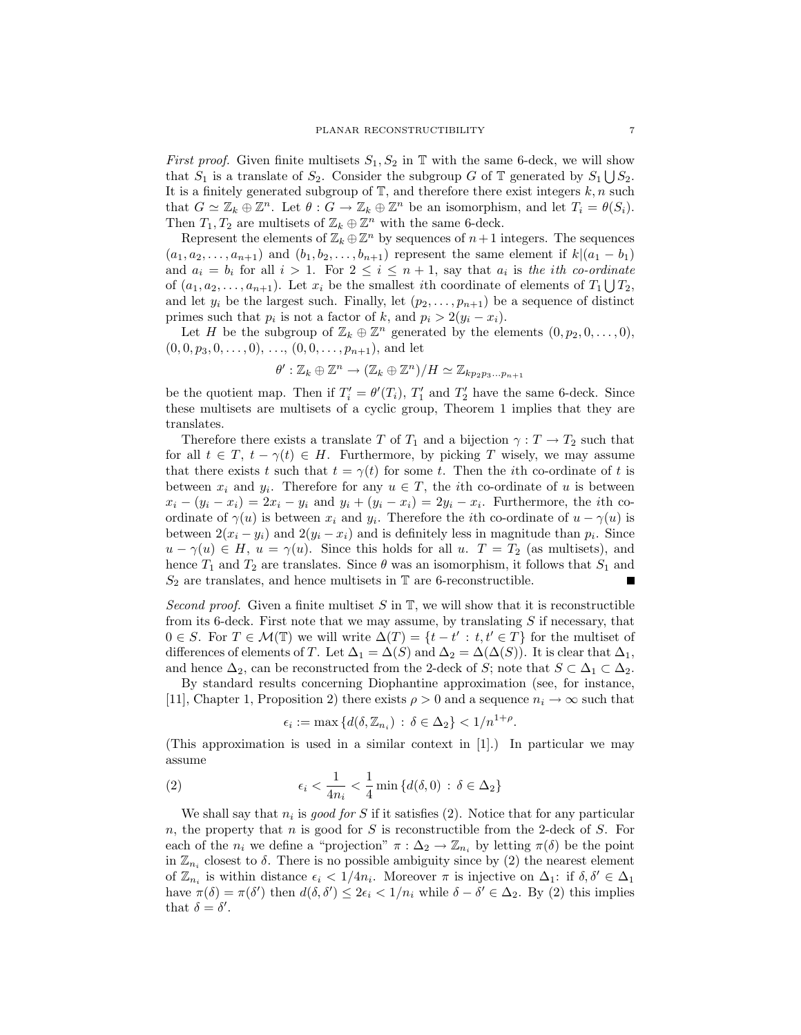*First proof.* Given finite multisets  $S_1, S_2$  in T with the same 6-deck, we will show that  $S_1$  is a translate of  $S_2$ . Consider the subgroup G of T generated by  $S_1 \bigcup S_2$ . It is a finitely generated subgroup of  $\mathbb{T}$ , and therefore there exist integers  $k, n$  such that  $G \simeq \mathbb{Z}_k \oplus \mathbb{Z}^n$ . Let  $\theta : G \to \mathbb{Z}_k \oplus \mathbb{Z}^n$  be an isomorphism, and let  $T_i = \theta(S_i)$ . Then  $T_1, T_2$  are multisets of  $\mathbb{Z}_k \oplus \mathbb{Z}^n$  with the same 6-deck.

Represent the elements of  $\mathbb{Z}_k \oplus \mathbb{Z}^n$  by sequences of  $n+1$  integers. The sequences  $(a_1, a_2, \ldots, a_{n+1})$  and  $(b_1, b_2, \ldots, b_{n+1})$  represent the same element if  $k|(a_1 - b_1)$ and  $a_i = b_i$  for all  $i > 1$ . For  $2 \leq i \leq n+1$ , say that  $a_i$  is the *i*th co-ordinate of  $(a_1, a_2, \ldots, a_{n+1})$ . Let  $x_i$  be the smallest *i*th coordinate of elements of  $T_1 \bigcup T_2$ , and let  $y_i$  be the largest such. Finally, let  $(p_2, \ldots, p_{n+1})$  be a sequence of distinct primes such that  $p_i$  is not a factor of k, and  $p_i > 2(y_i - x_i)$ .

Let H be the subgroup of  $\mathbb{Z}_k \oplus \mathbb{Z}^n$  generated by the elements  $(0, p_2, 0, \ldots, 0)$ ,  $(0, 0, p_3, 0, \ldots, 0), \ldots, (0, 0, \ldots, p_{n+1}),$  and let

$$
\theta': \mathbb{Z}_k \oplus \mathbb{Z}^n \to (\mathbb{Z}_k \oplus \mathbb{Z}^n)/H \simeq \mathbb{Z}_{kp_2p_3...p_{n+1}}
$$

be the quotient map. Then if  $T_i' = \theta'(T_i)$ ,  $T_1'$  and  $T_2'$  have the same 6-deck. Since these multisets are multisets of a cyclic group, Theorem 1 implies that they are translates.

Therefore there exists a translate T of  $T_1$  and a bijection  $\gamma : T \to T_2$  such that for all  $t \in T$ ,  $t - \gamma(t) \in H$ . Furthermore, by picking T wisely, we may assume that there exists t such that  $t = \gamma(t)$  for some t. Then the ith co-ordinate of t is between  $x_i$  and  $y_i$ . Therefore for any  $u \in T$ , the *i*th co-ordinate of u is between  $x_i - (y_i - x_i) = 2x_i - y_i$  and  $y_i + (y_i - x_i) = 2y_i - x_i$ . Furthermore, the *i*th coordinate of  $\gamma(u)$  is between  $x_i$  and  $y_i$ . Therefore the *i*th co-ordinate of  $u - \gamma(u)$  is between  $2(x_i - y_i)$  and  $2(y_i - x_i)$  and is definitely less in magnitude than  $p_i$ . Since  $u - \gamma(u) \in H$ ,  $u = \gamma(u)$ . Since this holds for all u.  $T = T_2$  (as multisets), and hence  $T_1$  and  $T_2$  are translates. Since  $\theta$  was an isomorphism, it follows that  $S_1$  and  $S_2$  are translates, and hence multisets in  $\mathbb T$  are 6-reconstructible. Е

Second proof. Given a finite multiset S in  $\mathbb{T}$ , we will show that it is reconstructible from its 6-deck. First note that we may assume, by translating  $S$  if necessary, that  $0 \in S$ . For  $T \in \mathcal{M}(\mathbb{T})$  we will write  $\Delta(T) = \{t - t' : t, t' \in T\}$  for the multiset of differences of elements of T. Let  $\Delta_1 = \Delta(S)$  and  $\Delta_2 = \Delta(\Delta(S))$ . It is clear that  $\Delta_1$ , and hence  $\Delta_2$ , can be reconstructed from the 2-deck of S; note that  $S \subset \Delta_1 \subset \Delta_2$ .

By standard results concerning Diophantine approximation (see, for instance, [11], Chapter 1, Proposition 2) there exists  $\rho > 0$  and a sequence  $n_i \to \infty$  such that

$$
\epsilon_i := \max \left\{ d(\delta, \mathbb{Z}_{n_i}) \, : \, \delta \in \Delta_2 \right\} < 1/n^{1+\rho}.
$$

(This approximation is used in a similar context in [1].) In particular we may assume

(2) 
$$
\epsilon_i < \frac{1}{4n_i} < \frac{1}{4} \min \left\{ d(\delta, 0) : \delta \in \Delta_2 \right\}
$$

We shall say that  $n_i$  is good for S if it satisfies (2). Notice that for any particular n, the property that n is good for S is reconstructible from the 2-deck of S. For each of the  $n_i$  we define a "projection"  $\pi : \Delta_2 \to \mathbb{Z}_{n_i}$  by letting  $\pi(\delta)$  be the point in  $\mathbb{Z}_{n_i}$  closest to  $\delta$ . There is no possible ambiguity since by (2) the nearest element of  $\mathbb{Z}_{n_i}$  is within distance  $\epsilon_i < 1/4n_i$ . Moreover  $\pi$  is injective on  $\Delta_1$ : if  $\delta, \delta' \in \Delta_1$ have  $\pi(\delta) = \pi(\delta')$  then  $d(\delta, \delta') \leq 2\epsilon_i < 1/n_i$  while  $\delta - \delta' \in \Delta_2$ . By (2) this implies that  $\delta = \delta'$ .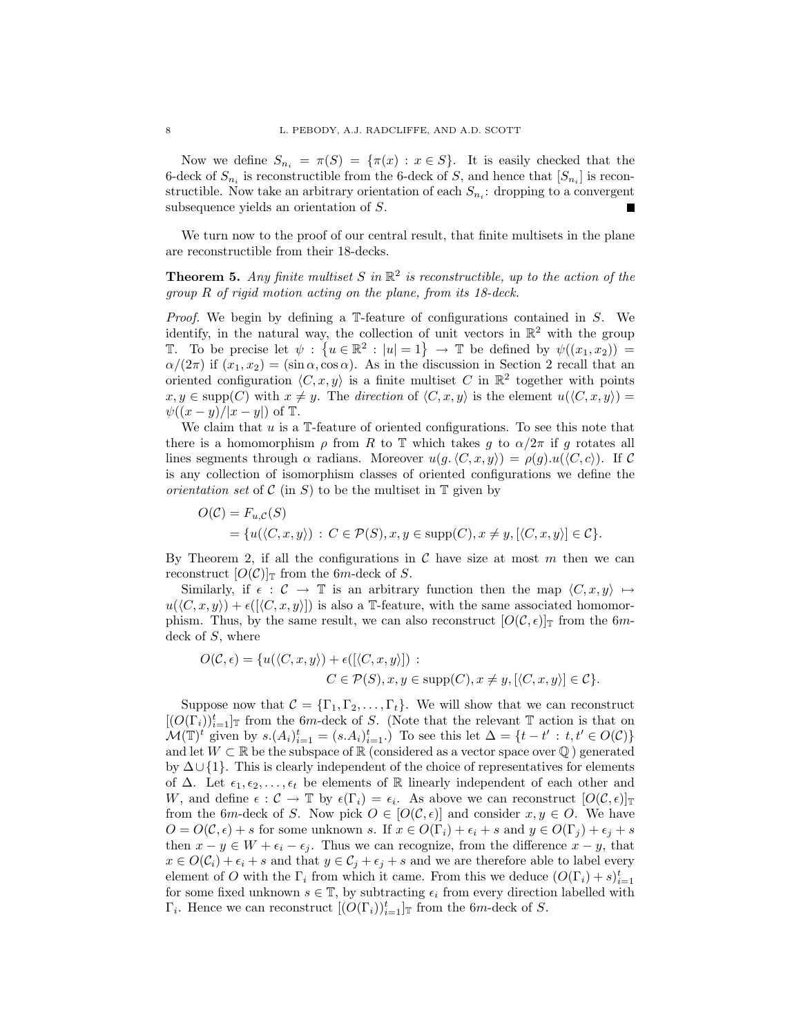Now we define  $S_{n_i} = \pi(S) = {\pi(x) : x \in S}$ . It is easily checked that the 6-deck of  $S_{n_i}$  is reconstructible from the 6-deck of S, and hence that  $[S_{n_i}]$  is reconstructible. Now take an arbitrary orientation of each  $S_{n_i}$ : dropping to a convergent subsequence yields an orientation of S.

We turn now to the proof of our central result, that finite multisets in the plane are reconstructible from their 18-decks.

**Theorem 5.** Any finite multiset S in  $\mathbb{R}^2$  is reconstructible, up to the action of the group R of rigid motion acting on the plane, from its 18-deck.

*Proof.* We begin by defining a  $\mathbb{T}$ -feature of configurations contained in S. We identify, in the natural way, the collection of unit vectors in  $\mathbb{R}^2$  with the group T. To be precise let  $\psi : \{u \in \mathbb{R}^2 : |u| = 1\} \to \mathbb{T}$  be defined by  $\psi((x_1, x_2)) =$  $\alpha/(2\pi)$  if  $(x_1, x_2) = (\sin \alpha, \cos \alpha)$ . As in the discussion in Section 2 recall that an oriented configuration  $\langle C, x, y \rangle$  is a finite multiset C in  $\mathbb{R}^2$  together with points  $x, y \in \text{supp}(C)$  with  $x \neq y$ . The direction of  $\langle C, x, y \rangle$  is the element  $u(\langle C, x, y \rangle) =$  $\psi((x-y)/|x-y|)$  of  $\mathbb T$ .

We claim that  $u$  is a T-feature of oriented configurations. To see this note that there is a homomorphism  $\rho$  from R to T which takes g to  $\alpha/2\pi$  if g rotates all lines segments through  $\alpha$  radians. Moreover  $u(g, \langle C, x, y \rangle) = \rho(g) . u(\langle C, c \rangle)$ . If C is any collection of isomorphism classes of oriented configurations we define the *orientation set* of  $\mathcal C$  (in S) to be the multiset in  $\mathbb T$  given by

$$
O(C) = F_{u,C}(S)
$$
  
= { $u(\langle C, x, y \rangle) : C \in \mathcal{P}(S), x, y \in \text{supp}(C), x \neq y, [\langle C, x, y \rangle] \in C}.$ 

By Theorem 2, if all the configurations in  $\mathcal C$  have size at most m then we can reconstruct  $[O(\mathcal{C})]_{\mathbb{T}}$  from the 6m-deck of S.

Similarly, if  $\epsilon : \mathcal{C} \to \mathbb{T}$  is an arbitrary function then the map  $\langle C, x, y \rangle \mapsto$  $u(\langle C, x, y \rangle) + \epsilon([\langle C, x, y \rangle])$  is also a T-feature, with the same associated homomorphism. Thus, by the same result, we can also reconstruct  $[O(C, \epsilon)]_T$  from the 6mdeck of S, where

$$
O(C, \epsilon) = \{u(\langle C, x, y \rangle) + \epsilon([\langle C, x, y \rangle]) :
$$
  

$$
C \in \mathcal{P}(S), x, y \in \text{supp}(C), x \neq y, [\langle C, x, y \rangle] \in \mathcal{C} \}.
$$

Suppose now that  $C = {\{\Gamma_1, \Gamma_2, ..., \Gamma_t\}}$ . We will show that we can reconstruct  $[(O(\Gamma_i))_{i=1}^t]$  from the 6m-deck of S. (Note that the relevant T action is that on  $\mathcal{M}(\mathbb{T})^t$  given by  $s.(A_i)_{i=1}^t = (s.A_i)_{i=1}^t$ . To see this let  $\Delta = \{t - t' : t, t' \in O(C)\}\$ and let  $W \subset \mathbb{R}$  be the subspace of  $\mathbb{R}$  (considered as a vector space over  $\mathbb{Q}$ ) generated by ∆∪ {1}. This is clearly independent of the choice of representatives for elements of  $\Delta$ . Let  $\epsilon_1, \epsilon_2, \ldots, \epsilon_t$  be elements of R linearly independent of each other and W, and define  $\epsilon : \mathcal{C} \to \mathbb{T}$  by  $\epsilon(\Gamma_i) = \epsilon_i$ . As above we can reconstruct  $[O(\mathcal{C}, \epsilon)]_{\mathbb{T}}$ from the 6m-deck of S. Now pick  $O \in [O(C, \epsilon)]$  and consider  $x, y \in O$ . We have  $O = O(C, \epsilon) + s$  for some unknown s. If  $x \in O(\Gamma_i) + \epsilon_i + s$  and  $y \in O(\Gamma_i) + \epsilon_i + s$ then  $x - y \in W + \epsilon_i - \epsilon_j$ . Thus we can recognize, from the difference  $x - y$ , that  $x \in O(C_i) + \epsilon_i + s$  and that  $y \in C_j + \epsilon_j + s$  and we are therefore able to label every element of O with the  $\Gamma_i$  from which it came. From this we deduce  $(O(\Gamma_i) + s)_{i=1}^t$ for some fixed unknown  $s \in \mathbb{T}$ , by subtracting  $\epsilon_i$  from every direction labelled with  $\Gamma_i$ . Hence we can reconstruct  $[(O(\Gamma_i))_{i=1}^t]$  from the 6m-deck of S.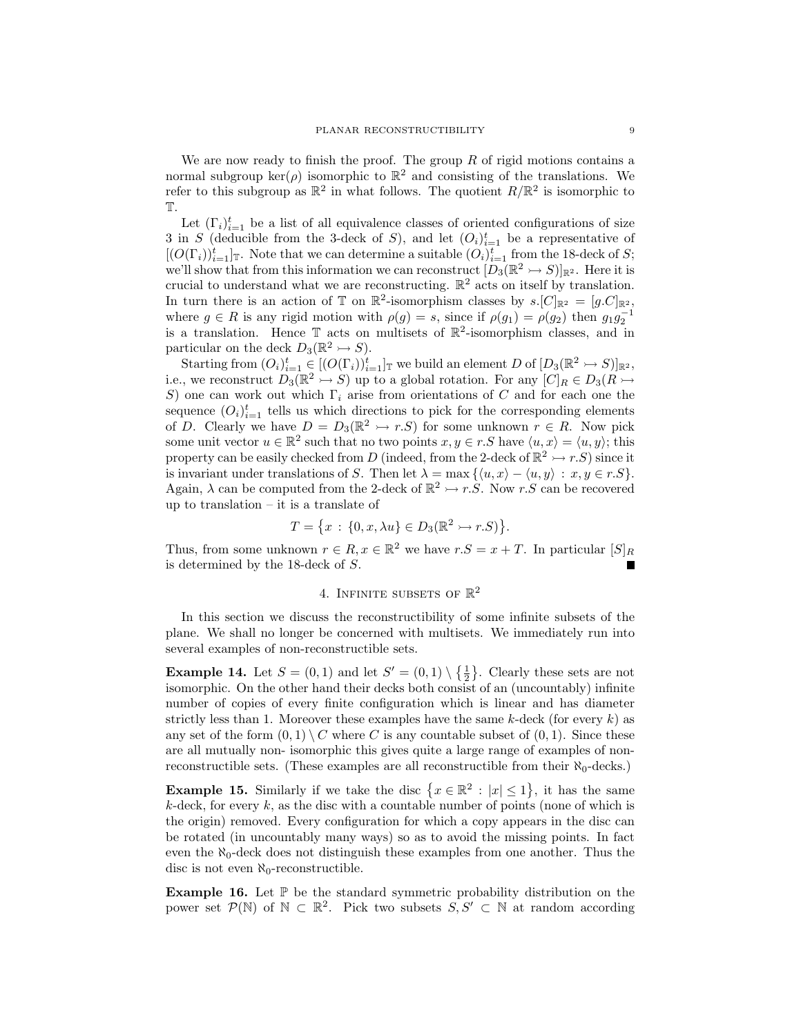We are now ready to finish the proof. The group  $R$  of rigid motions contains a normal subgroup ker( $\rho$ ) isomorphic to  $\mathbb{R}^2$  and consisting of the translations. We refer to this subgroup as  $\mathbb{R}^2$  in what follows. The quotient  $R/\mathbb{R}^2$  is isomorphic to T.

Let  $(\Gamma_i)_{i=1}^t$  be a list of all equivalence classes of oriented configurations of size 3 in S (deducible from the 3-deck of S), and let  $(O_i)_{i=1}^t$  be a representative of  $[(O(\Gamma_i))_{i=1}^t]$ <sub>T</sub>. Note that we can determine a suitable  $(O_i)_{i=1}^t$  from the 18-deck of S; we'll show that from this information we can reconstruct  $[D_3(\mathbb{R}^2 \rightarrow S)]_{\mathbb{R}^2}$ . Here it is crucial to understand what we are reconstructing.  $\mathbb{R}^2$  acts on itself by translation. In turn there is an action of  $\mathbb T$  on  $\mathbb R^2$ -isomorphism classes by  $s.[C]_{\mathbb R^2} = [g.C]_{\mathbb R^2}$ , where  $g \in R$  is any rigid motion with  $\rho(g) = s$ , since if  $\rho(g_1) = \rho(g_2)$  then  $g_1 g_2^{-1}$ is a translation. Hence  $\mathbb T$  acts on multisets of  $\mathbb R^2$ -isomorphism classes, and in particular on the deck  $D_3(\mathbb{R}^2 \rightarrow S)$ .

Starting from  $(O_i)_{i=1}^t \in [(O(\Gamma_i))_{i=1}^t]$  we build an element D of  $[D_3(\mathbb{R}^2 \rightarrow S)]_{\mathbb{R}^2}$ , i.e., we reconstruct  $D_3(\mathbb{R}^2 \to S)$  up to a global rotation. For any  $[C]_R \in D_3(R \to S)$ S) one can work out which  $\Gamma_i$  arise from orientations of C and for each one the sequence  $(O_i)_{i=1}^t$  tells us which directions to pick for the corresponding elements of D. Clearly we have  $D = D_3(\mathbb{R}^2 \rightarrow r.S)$  for some unknown  $r \in R$ . Now pick some unit vector  $u \in \mathbb{R}^2$  such that no two points  $x, y \in r$ . S have  $\langle u, x \rangle = \langle u, y \rangle$ ; this property can be easily checked from D (indeed, from the 2-deck of  $\mathbb{R}^2 \to r.S$ ) since it is invariant under translations of S. Then let  $\lambda = \max\{ \langle u, x \rangle - \langle u, y \rangle : x, y \in r.S \}.$ Again,  $\lambda$  can be computed from the 2-deck of  $\mathbb{R}^2 \rightarrow r.S$ . Now r.S can be recovered up to translation – it is a translate of

$$
T = \{x : \{0, x, \lambda u\} \in D_3(\mathbb{R}^2 \rightarrow r.S)\}.
$$

Thus, from some unknown  $r \in R$ ,  $x \in \mathbb{R}^2$  we have  $r.S = x + T$ . In particular  $[S]_R$ is determined by the 18-deck of S.

# 4. INFINITE SUBSETS OF  $\mathbb{R}^2$

In this section we discuss the reconstructibility of some infinite subsets of the plane. We shall no longer be concerned with multisets. We immediately run into several examples of non-reconstructible sets.

**Example 14.** Let  $S = (0, 1)$  and let  $S' = (0, 1) \setminus \{\frac{1}{2}\}\.$  Clearly these sets are not isomorphic. On the other hand their decks both consist of an (uncountably) infinite number of copies of every finite configuration which is linear and has diameter strictly less than 1. Moreover these examples have the same  $k$ -deck (for every  $k$ ) as any set of the form  $(0, 1) \setminus C$  where C is any countable subset of  $(0, 1)$ . Since these are all mutually non- isomorphic this gives quite a large range of examples of nonreconstructible sets. (These examples are all reconstructible from their  $\aleph_0$ -decks.)

**Example 15.** Similarly if we take the disc  $\{x \in \mathbb{R}^2 : |x| \leq 1\}$ , it has the same  $k$ -deck, for every  $k$ , as the disc with a countable number of points (none of which is the origin) removed. Every configuration for which a copy appears in the disc can be rotated (in uncountably many ways) so as to avoid the missing points. In fact even the  $\aleph_0$ -deck does not distinguish these examples from one another. Thus the disc is not even  $\aleph_0$ -reconstructible.

**Example 16.** Let  $\mathbb{P}$  be the standard symmetric probability distribution on the power set  $\mathcal{P}(\mathbb{N})$  of  $\mathbb{N} \subset \mathbb{R}^2$ . Pick two subsets  $S, S' \subset \mathbb{N}$  at random according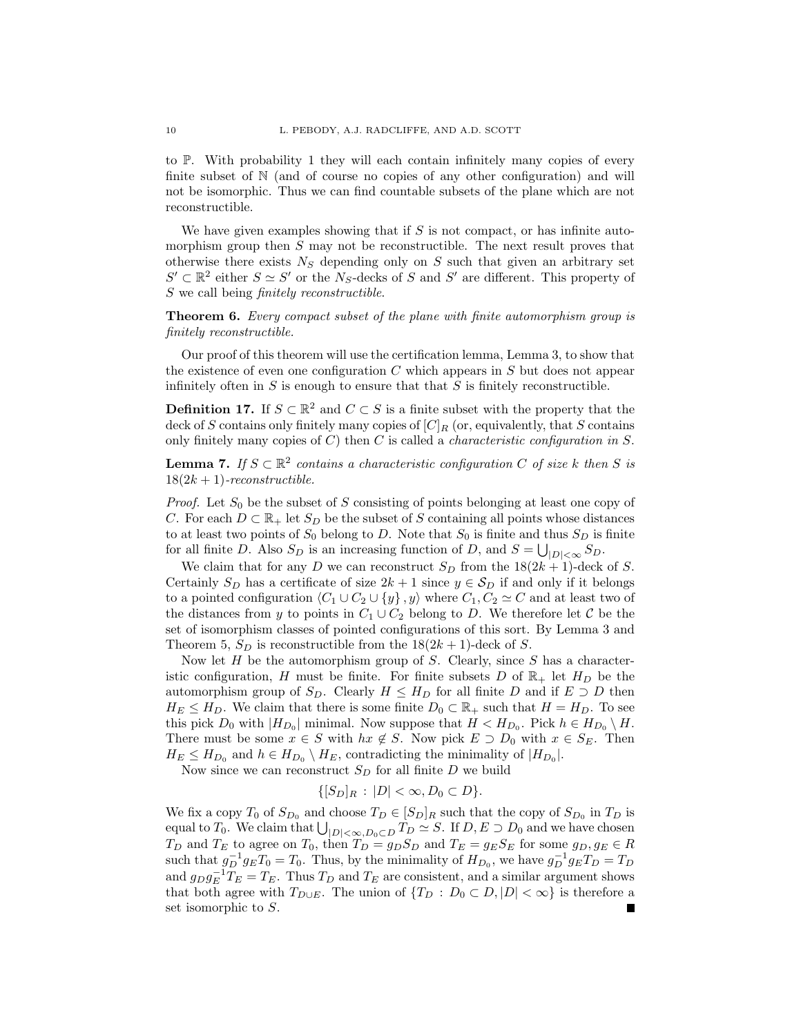to P. With probability 1 they will each contain infinitely many copies of every finite subset of N (and of course no copies of any other configuration) and will not be isomorphic. Thus we can find countable subsets of the plane which are not reconstructible.

We have given examples showing that if  $S$  is not compact, or has infinite automorphism group then  $S$  may not be reconstructible. The next result proves that otherwise there exists  $N<sub>S</sub>$  depending only on S such that given an arbitrary set  $S' \subset \mathbb{R}^2$  either  $S \simeq S'$  or the N<sub>S</sub>-decks of S and S' are different. This property of S we call being finitely reconstructible.

Theorem 6. Every compact subset of the plane with finite automorphism group is finitely reconstructible.

Our proof of this theorem will use the certification lemma, Lemma 3, to show that the existence of even one configuration  $C$  which appears in  $S$  but does not appear infinitely often in  $S$  is enough to ensure that that  $S$  is finitely reconstructible.

**Definition 17.** If  $S \subset \mathbb{R}^2$  and  $C \subset S$  is a finite subset with the property that the deck of S contains only finitely many copies of  $[C]_R$  (or, equivalently, that S contains only finitely many copies of  $C$ ) then  $C$  is called a *characteristic configuration in*  $S$ .

**Lemma 7.** If  $S \subset \mathbb{R}^2$  contains a characteristic configuration C of size k then S is  $18(2k+1)$ -reconstructible.

*Proof.* Let  $S_0$  be the subset of S consisting of points belonging at least one copy of C. For each  $D \subset \mathbb{R}_+$  let  $S_D$  be the subset of S containing all points whose distances to at least two points of  $S_0$  belong to D. Note that  $S_0$  is finite and thus  $S_D$  is finite for all finite D. Also  $S_D$  is an increasing function of D, and  $S = \bigcup_{|D| < \infty} S_D$ .

We claim that for any D we can reconstruct  $S_D$  from the  $18(2k+1)$ -deck of S. Certainly  $S_D$  has a certificate of size  $2k + 1$  since  $y \in S_D$  if and only if it belongs to a pointed configuration  $\langle C_1 \cup C_2 \cup \{y\}, y \rangle$  where  $C_1, C_2 \simeq C$  and at least two of the distances from y to points in  $C_1 \cup C_2$  belong to D. We therefore let C be the set of isomorphism classes of pointed configurations of this sort. By Lemma 3 and Theorem 5,  $S_D$  is reconstructible from the  $18(2k+1)$ -deck of S.

Now let  $H$  be the automorphism group of  $S$ . Clearly, since  $S$  has a characteristic configuration, H must be finite. For finite subsets D of  $\mathbb{R}_+$  let  $H_D$  be the automorphism group of  $S_D$ . Clearly  $H \leq H_D$  for all finite D and if  $E \supset D$  then  $H_E \leq H_D$ . We claim that there is some finite  $D_0 \subset \mathbb{R}_+$  such that  $H = H_D$ . To see this pick  $D_0$  with  $|H_{D_0}|$  minimal. Now suppose that  $H < H_{D_0}$ . Pick  $h \in H_{D_0} \setminus H$ . There must be some  $x \in S$  with  $hx \notin S$ . Now pick  $E \supset D_0$  with  $x \in S_E$ . Then  $H_E \leq H_{D_0}$  and  $h \in H_{D_0} \setminus H_E$ , contradicting the minimality of  $|H_{D_0}|$ .

Now since we can reconstruct  $S_D$  for all finite D we build

$$
\{[S_D]_R: |D| < \infty, D_0 \subset D\}.
$$

We fix a copy  $T_0$  of  $S_{D_0}$  and choose  $T_D \in [S_D]_R$  such that the copy of  $S_{D_0}$  in  $T_D$  is equal to  $T_0$ . We claim that  $\bigcup_{|D|<\infty, D_0\subset D} T_D \simeq S$ . If  $D, E \supset D_0$  and we have chosen  $T_D$  and  $T_E$  to agree on  $T_0$ , then  $T_D = g_D S_D$  and  $T_E = g_E S_E$  for some  $g_D, g_E \in R$ such that  $g_D^{-1}g_E T_0 = T_0$ . Thus, by the minimality of  $H_{D_0}$ , we have  $g_D^{-1}g_E T_D = T_D$ and  $g_D g_E^{-1} T_E = T_E$ . Thus  $T_D$  and  $T_E$  are consistent, and a similar argument shows that both agree with  $T_{D\cup E}$ . The union of  $\{T_D : D_0 \subset D, |D| < \infty\}$  is therefore a set isomorphic to S.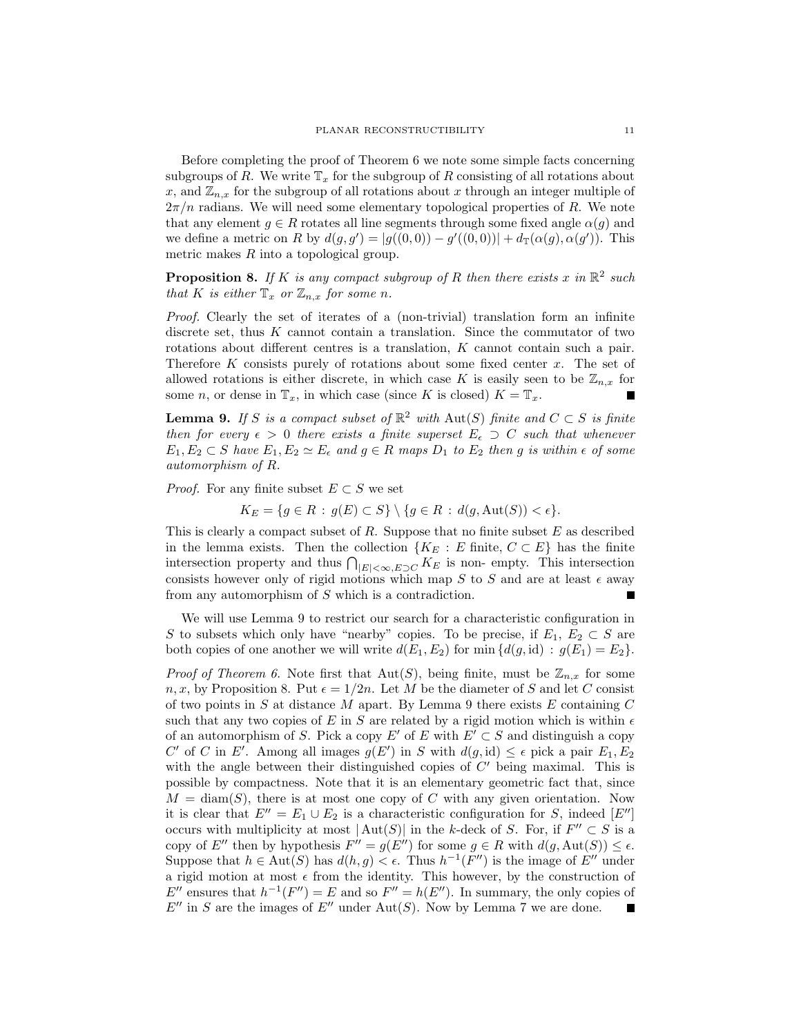Before completing the proof of Theorem 6 we note some simple facts concerning subgroups of R. We write  $\mathbb{T}_x$  for the subgroup of R consisting of all rotations about x, and  $\mathbb{Z}_{n,x}$  for the subgroup of all rotations about x through an integer multiple of  $2\pi/n$  radians. We will need some elementary topological properties of R. We note that any element  $g \in R$  rotates all line segments through some fixed angle  $\alpha(g)$  and we define a metric on R by  $d(g, g') = |g((0, 0)) - g'((0, 0))| + d_{\mathbb{T}}(\alpha(g), \alpha(g'))$ . This metric makes R into a topological group.

**Proposition 8.** If K is any compact subgroup of R then there exists x in  $\mathbb{R}^2$  such that K is either  $\mathbb{T}_x$  or  $\mathbb{Z}_{n,x}$  for some n.

Proof. Clearly the set of iterates of a (non-trivial) translation form an infinite discrete set, thus K cannot contain a translation. Since the commutator of two rotations about different centres is a translation, K cannot contain such a pair. Therefore K consists purely of rotations about some fixed center x. The set of allowed rotations is either discrete, in which case K is easily seen to be  $\mathbb{Z}_{n,x}$  for some *n*, or dense in  $\mathbb{T}_x$ , in which case (since K is closed)  $K = \mathbb{T}_x$ .

**Lemma 9.** If S is a compact subset of  $\mathbb{R}^2$  with  $\text{Aut}(S)$  finite and  $C \subset S$  is finite then for every  $\epsilon > 0$  there exists a finite superset  $E_{\epsilon} \supset C$  such that whenever  $E_1, E_2 \subset S$  have  $E_1, E_2 \simeq E_\epsilon$  and  $g \in R$  maps  $D_1$  to  $E_2$  then g is within  $\epsilon$  of some automorphism of R.

*Proof.* For any finite subset  $E \subset S$  we set

 $K_E = \{ g \in R : g(E) \subset S \} \setminus \{ g \in R : d(g, \text{Aut}(S)) < \epsilon \}.$ 

This is clearly a compact subset of  $R$ . Suppose that no finite subset  $E$  as described in the lemma exists. Then the collection  ${K_E : E \text{ finite, } C \subset E}$  has the finite intersection property and thus  $\bigcap_{|E|<\infty,E\supset C} K_E$  is non- empty. This intersection consists however only of rigid motions which map S to S and are at least  $\epsilon$  away from any automorphism of S which is a contradiction.

We will use Lemma 9 to restrict our search for a characteristic configuration in S to subsets which only have "nearby" copies. To be precise, if  $E_1, E_2 \subset S$  are both copies of one another we will write  $d(E_1, E_2)$  for min  $\{d(g, id) : g(E_1) = E_2\}.$ 

*Proof of Theorem 6.* Note first that  $Aut(S)$ , being finite, must be  $\mathbb{Z}_{n,x}$  for some n, x, by Proposition 8. Put  $\epsilon = 1/2n$ . Let M be the diameter of S and let C consist of two points in  $S$  at distance  $M$  apart. By Lemma 9 there exists  $E$  containing  $C$ such that any two copies of E in S are related by a rigid motion which is within  $\epsilon$ of an automorphism of S. Pick a copy E' of E with  $E' \subset S$  and distinguish a copy C' of C in E'. Among all images  $g(E')$  in S with  $d(g, id) \leq \epsilon$  pick a pair  $E_1, E_2$ with the angle between their distinguished copies of  $C'$  being maximal. This is possible by compactness. Note that it is an elementary geometric fact that, since  $M = \text{diam}(S)$ , there is at most one copy of C with any given orientation. Now it is clear that  $E'' = E_1 \cup E_2$  is a characteristic configuration for S, indeed  $[E'']$ occurs with multiplicity at most  $|\text{Aut}(S)|$  in the k-deck of S. For, if  $F'' \subset S$  is a copy of E'' then by hypothesis  $F'' = g(E'')$  for some  $g \in R$  with  $d(g, \text{Aut}(S)) \leq \epsilon$ . Suppose that  $h \in \text{Aut}(S)$  has  $d(h, g) < \epsilon$ . Thus  $h^{-1}(F'')$  is the image of  $E''$  under a rigid motion at most  $\epsilon$  from the identity. This however, by the construction of  $E''$  ensures that  $h^{-1}(F'') = E$  and so  $F'' = h(E'')$ . In summary, the only copies of  $E''$  in S are the images of  $E''$  under Aut(S). Now by Lemma 7 we are done. П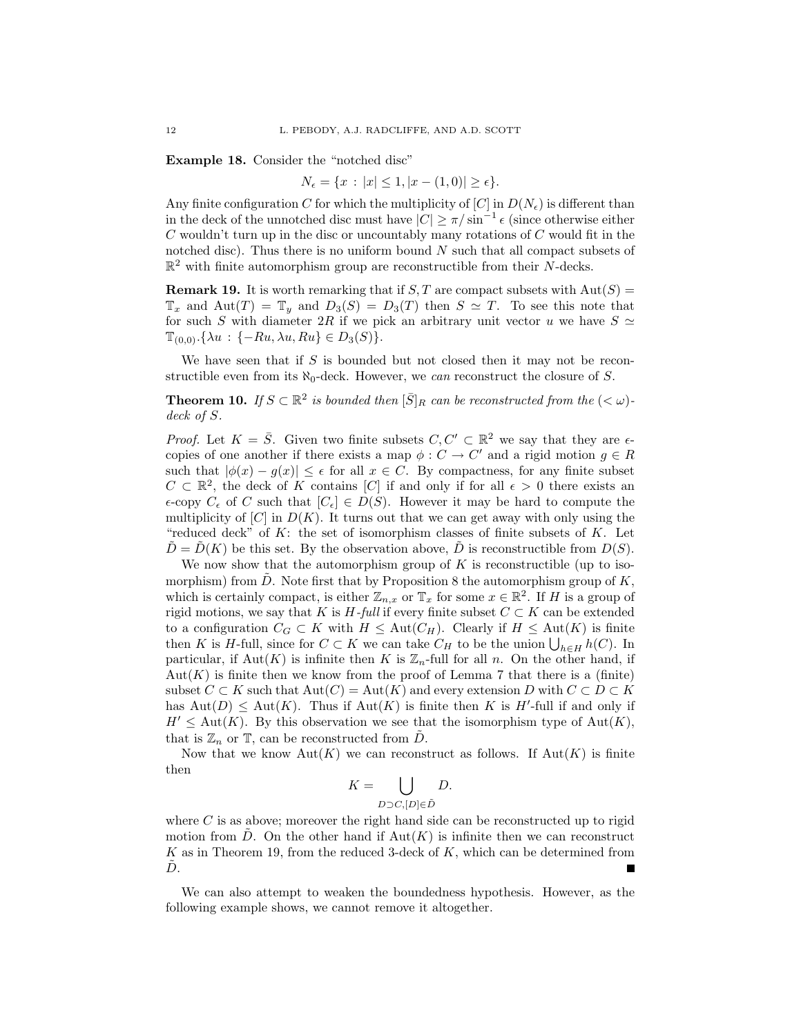Example 18. Consider the "notched disc"

$$
N_{\epsilon} = \{x : |x| \le 1, |x - (1, 0)| \ge \epsilon\}.
$$

Any finite configuration C for which the multiplicity of  $[C]$  in  $D(N_{\epsilon})$  is different than in the deck of the unnotched disc must have  $|C| \ge \pi / \sin^{-1} \epsilon$  (since otherwise either  $C$  wouldn't turn up in the disc or uncountably many rotations of  $C$  would fit in the notched disc). Thus there is no uniform bound  $N$  such that all compact subsets of  $\mathbb{R}^2$  with finite automorphism group are reconstructible from their N-decks.

**Remark 19.** It is worth remarking that if S, T are compact subsets with  $Aut(S)$  =  $\mathbb{T}_x$  and  $\text{Aut}(T) = \mathbb{T}_y$  and  $D_3(S) = D_3(T)$  then  $S \simeq T$ . To see this note that for such S with diameter 2R if we pick an arbitrary unit vector u we have  $S \simeq$  $\mathbb{T}_{(0,0)}$ .{ $\lambda u : \{-Ru, \lambda u, Ru\} \in D_3(S)$ }.

We have seen that if  $S$  is bounded but not closed then it may not be reconstructible even from its  $\aleph_0$ -deck. However, we can reconstruct the closure of S.

**Theorem 10.** If  $S \subset \mathbb{R}^2$  is bounded then  $[\bar{S}]_R$  can be reconstructed from the  $( $\omega$ )$ deck of S.

*Proof.* Let  $K = \overline{S}$ . Given two finite subsets  $C, C' \subset \mathbb{R}^2$  we say that they are  $\epsilon$ copies of one another if there exists a map  $\phi : C \to C'$  and a rigid motion  $g \in R$ such that  $|\phi(x) - g(x)| \leq \epsilon$  for all  $x \in C$ . By compactness, for any finite subset  $C \subset \mathbb{R}^2$ , the deck of K contains [C] if and only if for all  $\epsilon > 0$  there exists an  $\epsilon$ -copy  $C_{\epsilon}$  of C such that  $[C_{\epsilon}] \in D(S)$ . However it may be hard to compute the multiplicity of  $[C]$  in  $D(K)$ . It turns out that we can get away with only using the "reduced deck" of  $K$ : the set of isomorphism classes of finite subsets of  $K$ . Let  $\bar{D} = \bar{D}(K)$  be this set. By the observation above,  $\bar{D}$  is reconstructible from  $D(S)$ .

We now show that the automorphism group of  $K$  is reconstructible (up to isomorphism) from  $\tilde{D}$ . Note first that by Proposition 8 the automorphism group of K, which is certainly compact, is either  $\mathbb{Z}_{n,x}$  or  $\mathbb{T}_x$  for some  $x \in \mathbb{R}^2$ . If H is a group of rigid motions, we say that K is H-full if every finite subset  $C \subset K$  can be extended to a configuration  $C_G \subset K$  with  $H \leq \text{Aut}(C_H)$ . Clearly if  $H \leq \text{Aut}(K)$  is finite then K is H-full, since for  $C \subset K$  we can take  $C_H$  to be the union  $\bigcup_{h \in H} h(C)$ . In particular, if  $\text{Aut}(K)$  is infinite then K is  $\mathbb{Z}_n$ -full for all n. On the other hand, if  $Aut(K)$  is finite then we know from the proof of Lemma 7 that there is a (finite) subset  $C \subset K$  such that  $Aut(C) = Aut(K)$  and every extension D with  $C \subset D \subset K$ has  $Aut(D) \leq Aut(K)$ . Thus if  $Aut(K)$  is finite then K is H'-full if and only if  $H' \leq \text{Aut}(K)$ . By this observation we see that the isomorphism type of  $\text{Aut}(K)$ , that is  $\mathbb{Z}_n$  or  $\mathbb{T}$ , can be reconstructed from D.

Now that we know  $Aut(K)$  we can reconstruct as follows. If  $Aut(K)$  is finite then

$$
K = \bigcup_{D \supset C, [D] \in \tilde{D}} D.
$$

where  $C$  is as above; moreover the right hand side can be reconstructed up to rigid motion from D. On the other hand if  $Aut(K)$  is infinite then we can reconstruct  $K$  as in Theorem 19, from the reduced 3-deck of  $K$ , which can be determined from  $D.$ 

We can also attempt to weaken the boundedness hypothesis. However, as the following example shows, we cannot remove it altogether.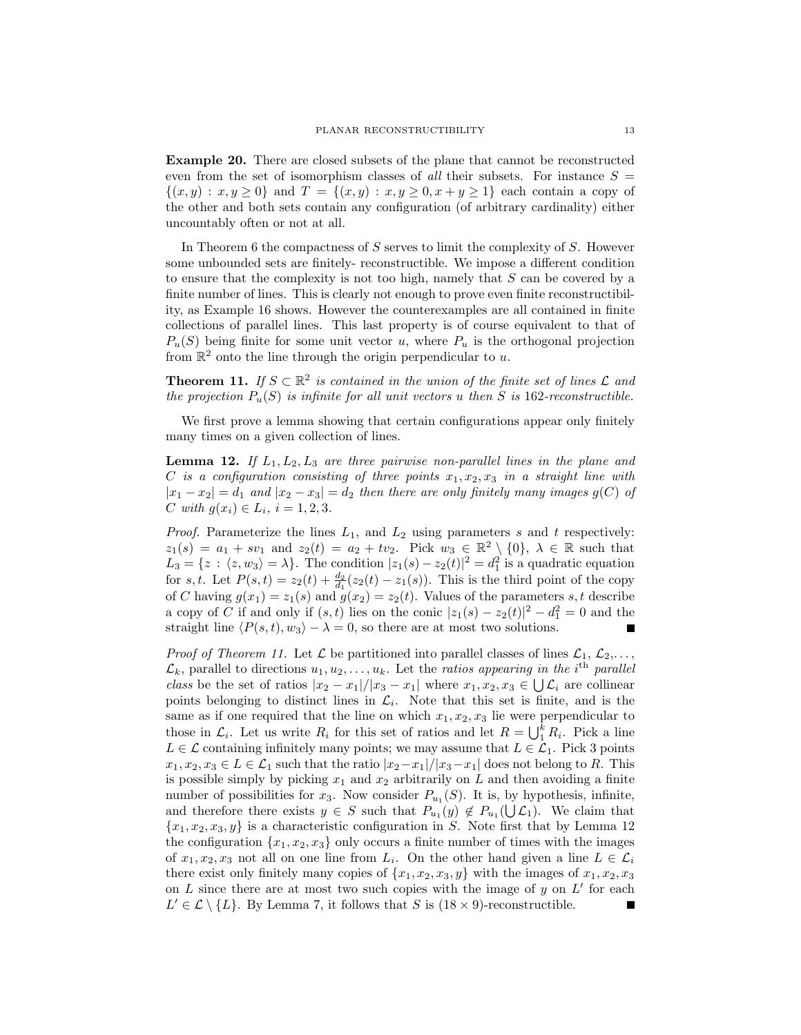Example 20. There are closed subsets of the plane that cannot be reconstructed even from the set of isomorphism classes of all their subsets. For instance  $S =$  $\{(x,y): x,y \geq 0\}$  and  $T = \{(x,y): x,y \geq 0, x+y \geq 1\}$  each contain a copy of the other and both sets contain any configuration (of arbitrary cardinality) either uncountably often or not at all.

In Theorem 6 the compactness of  $S$  serves to limit the complexity of  $S$ . However some unbounded sets are finitely- reconstructible. We impose a different condition to ensure that the complexity is not too high, namely that S can be covered by a finite number of lines. This is clearly not enough to prove even finite reconstructibility, as Example 16 shows. However the counterexamples are all contained in finite collections of parallel lines. This last property is of course equivalent to that of  $P_u(S)$  being finite for some unit vector u, where  $P_u$  is the orthogonal projection from  $\mathbb{R}^2$  onto the line through the origin perpendicular to u.

**Theorem 11.** If  $S \subset \mathbb{R}^2$  is contained in the union of the finite set of lines  $\mathcal{L}$  and the projection  $P_u(S)$  is infinite for all unit vectors u then S is 162-reconstructible.

We first prove a lemma showing that certain configurations appear only finitely many times on a given collection of lines.

**Lemma 12.** If  $L_1, L_2, L_3$  are three pairwise non-parallel lines in the plane and C is a configuration consisting of three points  $x_1, x_2, x_3$  in a straight line with  $|x_1 - x_2| = d_1$  and  $|x_2 - x_3| = d_2$  then there are only finitely many images  $g(C)$  of C with  $g(x_i) \in L_i$ ,  $i = 1, 2, 3$ .

*Proof.* Parameterize the lines  $L_1$ , and  $L_2$  using parameters s and t respectively:  $z_1(s) = a_1 + sv_1$  and  $z_2(t) = a_2 + tv_2$ . Pick  $w_3 \in \mathbb{R}^2 \setminus \{0\}, \lambda \in \mathbb{R}$  such that  $L_3 = \{z : \langle z, w_3 \rangle = \lambda\}.$  The condition  $|z_1(s) - z_2(t)|^2 = d_1^2$  is a quadratic equation for s, t. Let  $P(s,t) = z_2(t) + \frac{d_2}{d_1}(z_2(t) - z_1(s))$ . This is the third point of the copy of C having  $g(x_1) = z_1(s)$  and  $g(x_2) = z_2(t)$ . Values of the parameters s, t describe a copy of C if and only if  $(s, t)$  lies on the conic  $|z_1(s) - z_2(t)|^2 - d_1^2 = 0$  and the straight line  $\langle P(s, t), w_3 \rangle - \lambda = 0$ , so there are at most two solutions.

*Proof of Theorem 11.* Let  $\mathcal L$  be partitioned into parallel classes of lines  $\mathcal L_1, \mathcal L_2, \ldots$ ,  $\mathcal{L}_k$ , parallel to directions  $u_1, u_2, \ldots, u_k$ . Let the ratios appearing in the i<sup>th</sup> parallel class be the set of ratios  $|x_2 - x_1|/|x_3 - x_1|$  where  $x_1, x_2, x_3 \in \bigcup \mathcal{L}_i$  are collinear points belonging to distinct lines in  $\mathcal{L}_i$ . Note that this set is finite, and is the same as if one required that the line on which  $x_1, x_2, x_3$  lie were perpendicular to those in  $\mathcal{L}_i$ . Let us write  $R_i$  for this set of ratios and let  $R = \bigcup_{i=1}^k R_i$ . Pick a line  $L \in \mathcal{L}$  containing infinitely many points; we may assume that  $L \in \mathcal{L}_1$ . Pick 3 points  $x_1, x_2, x_3 \in L \in \mathcal{L}_1$  such that the ratio  $|x_2-x_1|/|x_3-x_1|$  does not belong to R. This is possible simply by picking  $x_1$  and  $x_2$  arbitrarily on L and then avoiding a finite number of possibilities for  $x_3$ . Now consider  $P_{u_1}(S)$ . It is, by hypothesis, infinite, and therefore there exists  $y \in S$  such that  $P_{u_1}(y) \notin P_{u_1}(\bigcup \mathcal{L}_1)$ . We claim that  ${x_1, x_2, x_3, y}$  is a characteristic configuration in S. Note first that by Lemma 12 the configuration  $\{x_1, x_2, x_3\}$  only occurs a finite number of times with the images of  $x_1, x_2, x_3$  not all on one line from  $L_i$ . On the other hand given a line  $L \in \mathcal{L}_i$ there exist only finitely many copies of  $\{x_1, x_2, x_3, y\}$  with the images of  $x_1, x_2, x_3$ on  $L$  since there are at most two such copies with the image of  $y$  on  $L'$  for each  $L' \in \mathcal{L} \setminus \{L\}$ . By Lemma 7, it follows that S is  $(18 \times 9)$ -reconstructible.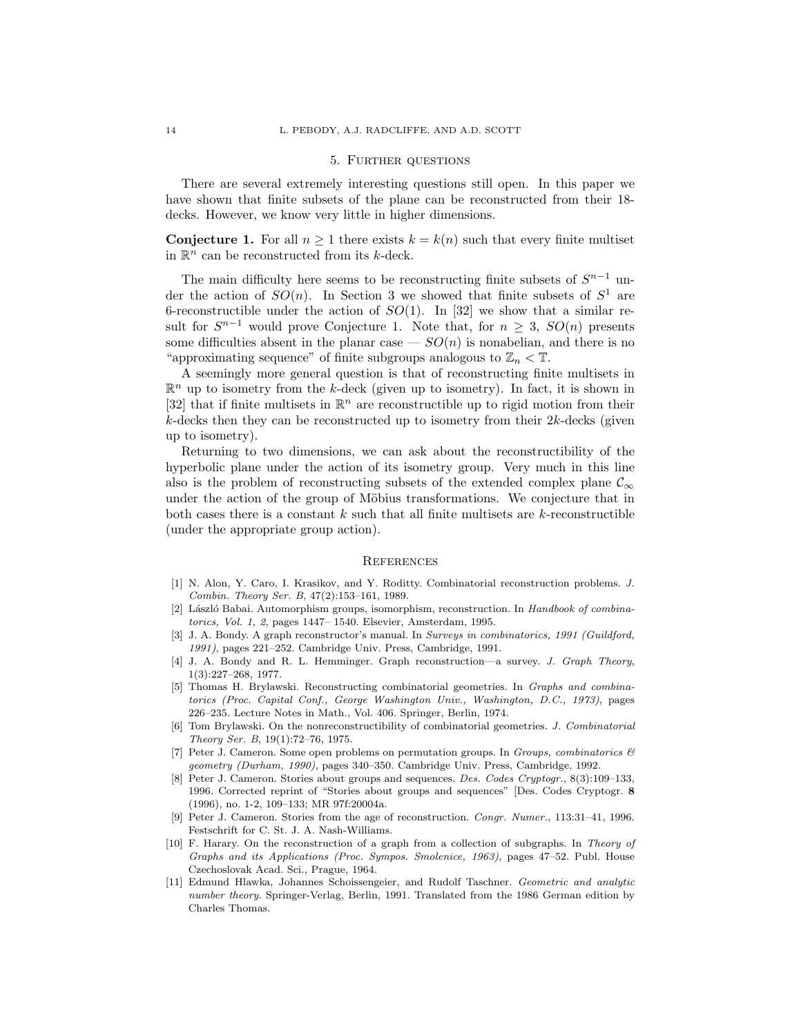#### 5. Further questions

There are several extremely interesting questions still open. In this paper we have shown that finite subsets of the plane can be reconstructed from their 18 decks. However, we know very little in higher dimensions.

**Conjecture 1.** For all  $n \geq 1$  there exists  $k = k(n)$  such that every finite multiset in  $\mathbb{R}^n$  can be reconstructed from its k-deck.

The main difficulty here seems to be reconstructing finite subsets of  $S^{n-1}$  under the action of  $SO(n)$ . In Section 3 we showed that finite subsets of  $S^1$  are 6-reconstructible under the action of  $SO(1)$ . In [32] we show that a similar result for  $S^{n-1}$  would prove Conjecture 1. Note that, for  $n \geq 3$ ,  $SO(n)$  presents some difficulties absent in the planar case  $-SO(n)$  is nonabelian, and there is no "approximating sequence" of finite subgroups analogous to  $\mathbb{Z}_n < \mathbb{T}$ .

A seemingly more general question is that of reconstructing finite multisets in  $\mathbb{R}^n$  up to isometry from the k-deck (given up to isometry). In fact, it is shown in [32] that if finite multisets in  $\mathbb{R}^n$  are reconstructible up to rigid motion from their  $k$ -decks then they can be reconstructed up to isometry from their  $2k$ -decks (given up to isometry).

Returning to two dimensions, we can ask about the reconstructibility of the hyperbolic plane under the action of its isometry group. Very much in this line also is the problem of reconstructing subsets of the extended complex plane  $\mathcal{C}_{\infty}$ under the action of the group of Möbius transformations. We conjecture that in both cases there is a constant  $k$  such that all finite multisets are  $k$ -reconstructible (under the appropriate group action).

#### **REFERENCES**

- [1] N. Alon, Y. Caro, I. Krasikov, and Y. Roditty. Combinatorial reconstruction problems. J. Combin. Theory Ser. B, 47(2):153–161, 1989.
- [2] László Babai. Automorphism groups, isomorphism, reconstruction. In Handbook of combinatorics, Vol. 1, 2, pages 1447– 1540. Elsevier, Amsterdam, 1995.
- [3] J. A. Bondy. A graph reconstructor's manual. In Surveys in combinatorics, 1991 (Guildford, 1991), pages 221–252. Cambridge Univ. Press, Cambridge, 1991.
- [4] J. A. Bondy and R. L. Hemminger. Graph reconstruction—a survey. J. Graph Theory, 1(3):227–268, 1977.
- [5] Thomas H. Brylawski. Reconstructing combinatorial geometries. In Graphs and combinatorics (Proc. Capital Conf., George Washington Univ., Washington, D.C., 1973), pages 226–235. Lecture Notes in Math., Vol. 406. Springer, Berlin, 1974.
- [6] Tom Brylawski. On the nonreconstructibility of combinatorial geometries. J. Combinatorial Theory Ser. B, 19(1):72–76, 1975.
- [7] Peter J. Cameron. Some open problems on permutation groups. In Groups, combinatorics  $\mathcal{B}$ geometry (Durham, 1990), pages 340–350. Cambridge Univ. Press, Cambridge, 1992.
- [8] Peter J. Cameron. Stories about groups and sequences. Des. Codes Cryptogr., 8(3):109–133, 1996. Corrected reprint of "Stories about groups and sequences" [Des. Codes Cryptogr. 8 (1996), no. 1-2, 109–133; MR 97f:20004a.
- [9] Peter J. Cameron. Stories from the age of reconstruction. Congr. Numer., 113:31–41, 1996. Festschrift for C. St. J. A. Nash-Williams.
- [10] F. Harary. On the reconstruction of a graph from a collection of subgraphs. In Theory of Graphs and its Applications (Proc. Sympos. Smolenice, 1963), pages 47–52. Publ. House Czechoslovak Acad. Sci., Prague, 1964.
- [11] Edmund Hlawka, Johannes Schoissengeier, and Rudolf Taschner. Geometric and analytic number theory. Springer-Verlag, Berlin, 1991. Translated from the 1986 German edition by Charles Thomas.